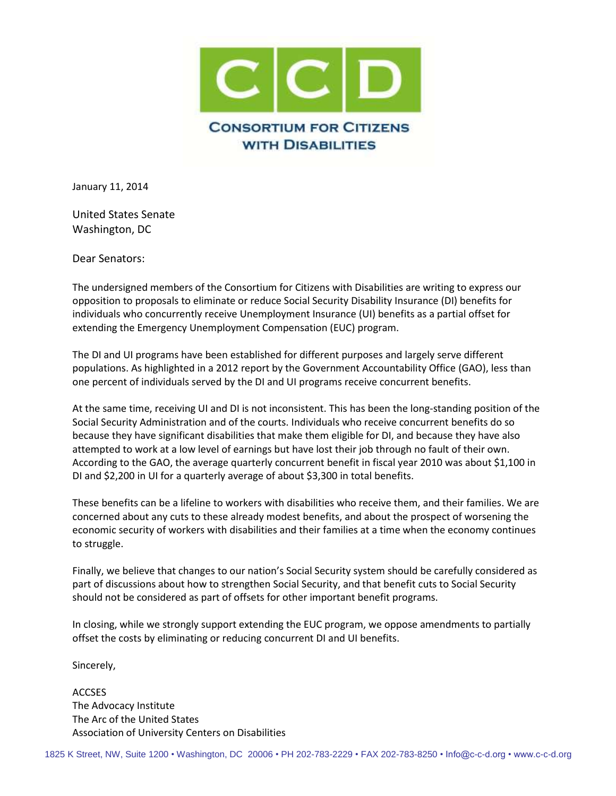

January 11, 2014

United States Senate Washington, DC

Dear Senators:

The undersigned members of the Consortium for Citizens with Disabilities are writing to express our opposition to proposals to eliminate or reduce Social Security Disability Insurance (DI) benefits for individuals who concurrently receive Unemployment Insurance (UI) benefits as a partial offset for extending the Emergency Unemployment Compensation (EUC) program.

The DI and UI programs have been established for different purposes and largely serve different populations. As highlighted in a 2012 report by the Government Accountability Office (GAO), less than one percent of individuals served by the DI and UI programs receive concurrent benefits.

At the same time, receiving UI and DI is not inconsistent. This has been the long-standing position of the Social Security Administration and of the courts. Individuals who receive concurrent benefits do so because they have significant disabilities that make them eligible for DI, and because they have also attempted to work at a low level of earnings but have lost their job through no fault of their own. According to the GAO, the average quarterly concurrent benefit in fiscal year 2010 was about \$1,100 in DI and \$2,200 in UI for a quarterly average of about \$3,300 in total benefits.

These benefits can be a lifeline to workers with disabilities who receive them, and their families. We are concerned about any cuts to these already modest benefits, and about the prospect of worsening the economic security of workers with disabilities and their families at a time when the economy continues to struggle.

Finally, we believe that changes to our nation's Social Security system should be carefully considered as part of discussions about how to strengthen Social Security, and that benefit cuts to Social Security should not be considered as part of offsets for other important benefit programs.

In closing, while we strongly support extending the EUC program, we oppose amendments to partially offset the costs by eliminating or reducing concurrent DI and UI benefits.

Sincerely,

ACCSES The Advocacy Institute The Arc of the United States Association of University Centers on Disabilities